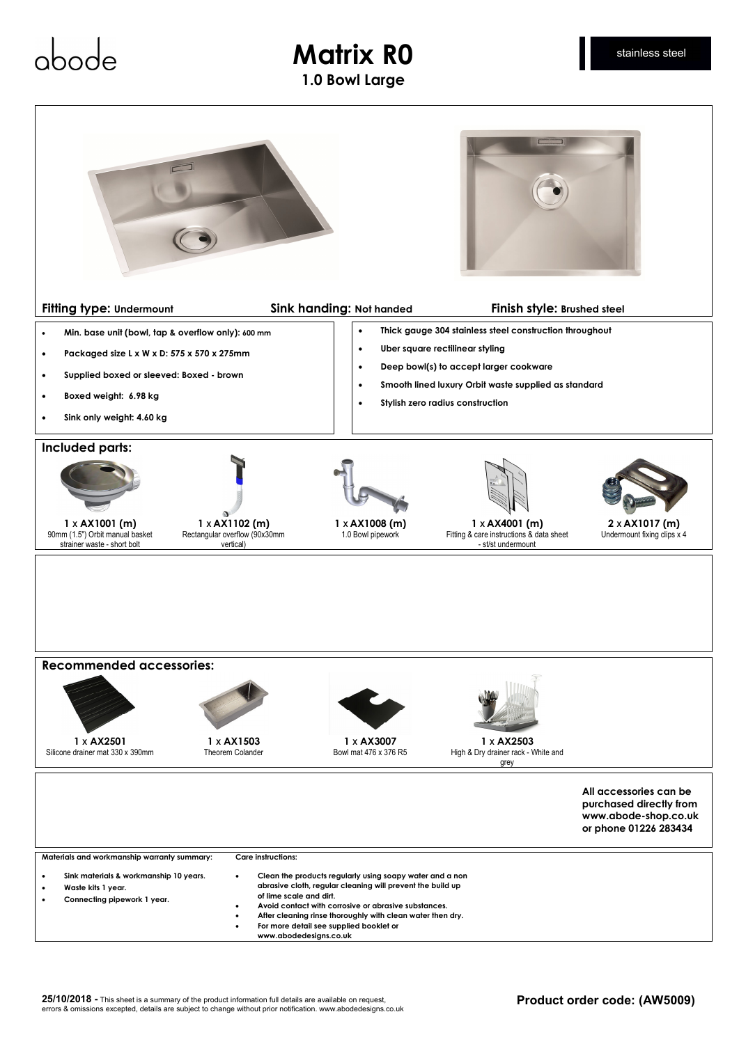## **Matrix R0 1.0 Bowl Large**